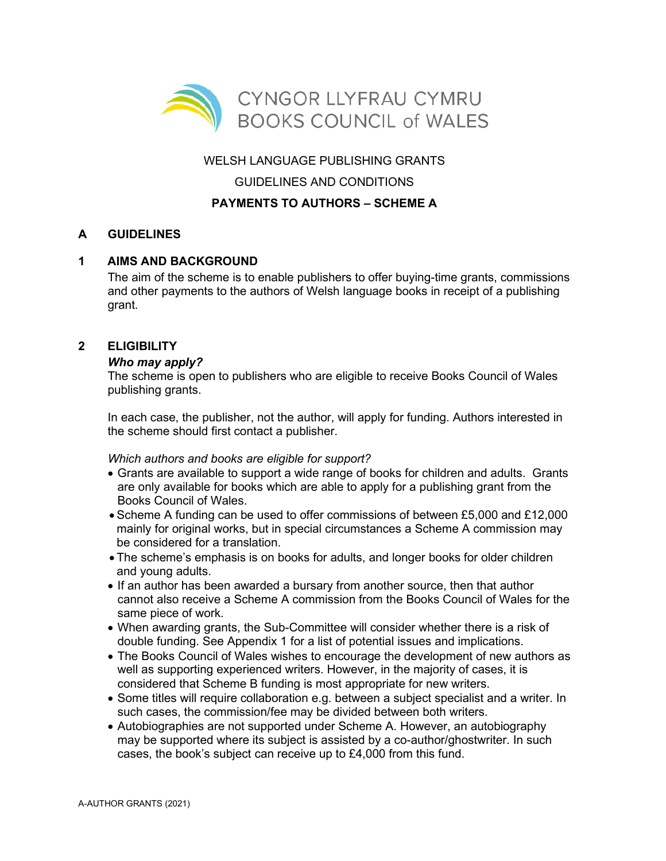

WELSH LANGUAGE PUBLISHING GRANTS

GUIDELINES AND CONDITIONS

# **PAYMENTS TO AUTHORS – SCHEME A**

# **A GUIDELINES**

## **1 AIMS AND BACKGROUND**

The aim of the scheme is to enable publishers to offer buying-time grants, commissions and other payments to the authors of Welsh language books in receipt of a publishing grant.

## **2 ELIGIBILITY**

## *Who may apply?*

The scheme is open to publishers who are eligible to receive Books Council of Wales publishing grants.

In each case, the publisher, not the author, will apply for funding. Authors interested in the scheme should first contact a publisher.

## *Which authors and books are eligible for support?*

- Grants are available to support a wide range of books for children and adults. Grants are only available for books which are able to apply for a publishing grant from the Books Council of Wales.
- Scheme A funding can be used to offer commissions of between £5,000 and £12,000 mainly for original works, but in special circumstances a Scheme A commission may be considered for a translation.
- The scheme's emphasis is on books for adults, and longer books for older children and young adults.
- If an author has been awarded a bursary from another source, then that author cannot also receive a Scheme A commission from the Books Council of Wales for the same piece of work.
- When awarding grants, the Sub-Committee will consider whether there is a risk of double funding. See Appendix 1 for a list of potential issues and implications.
- The Books Council of Wales wishes to encourage the development of new authors as well as supporting experienced writers. However, in the majority of cases, it is considered that Scheme B funding is most appropriate for new writers.
- Some titles will require collaboration e.g. between a subject specialist and a writer. In such cases, the commission/fee may be divided between both writers.
- Autobiographies are not supported under Scheme A. However, an autobiography may be supported where its subject is assisted by a co-author/ghostwriter. In such cases, the book's subject can receive up to £4,000 from this fund.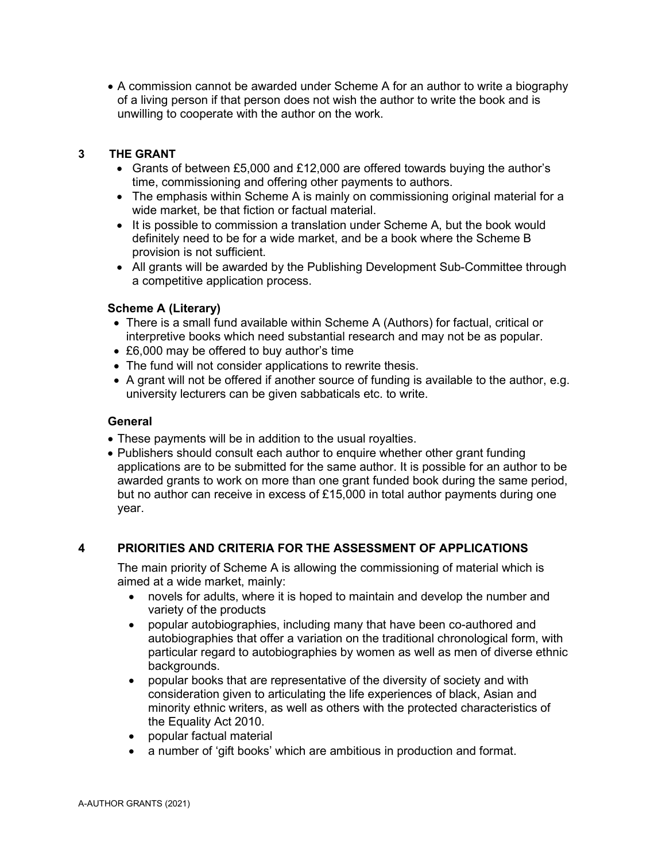• A commission cannot be awarded under Scheme A for an author to write a biography of a living person if that person does not wish the author to write the book and is unwilling to cooperate with the author on the work.

#### **3 THE GRANT**

- Grants of between £5,000 and £12,000 are offered towards buying the author's time, commissioning and offering other payments to authors.
- The emphasis within Scheme A is mainly on commissioning original material for a wide market, be that fiction or factual material.
- It is possible to commission a translation under Scheme A, but the book would definitely need to be for a wide market, and be a book where the Scheme B provision is not sufficient.
- All grants will be awarded by the Publishing Development Sub-Committee through a competitive application process.

#### **Scheme A (Literary)**

- There is a small fund available within Scheme A (Authors) for factual, critical or interpretive books which need substantial research and may not be as popular.
- £6,000 may be offered to buy author's time
- The fund will not consider applications to rewrite thesis.
- A grant will not be offered if another source of funding is available to the author, e.g. university lecturers can be given sabbaticals etc. to write.

#### **General**

- These payments will be in addition to the usual royalties.
- Publishers should consult each author to enquire whether other grant funding applications are to be submitted for the same author. It is possible for an author to be awarded grants to work on more than one grant funded book during the same period, but no author can receive in excess of  $£15,000$  in total author payments during one year.

## **4 PRIORITIES AND CRITERIA FOR THE ASSESSMENT OF APPLICATIONS**

The main priority of Scheme A is allowing the commissioning of material which is aimed at a wide market, mainly:

- novels for adults, where it is hoped to maintain and develop the number and variety of the products
- popular autobiographies, including many that have been co-authored and autobiographies that offer a variation on the traditional chronological form, with particular regard to autobiographies by women as well as men of diverse ethnic backgrounds.
- popular books that are representative of the diversity of society and with consideration given to articulating the life experiences of black, Asian and minority ethnic writers, as well as others with the protected characteristics of the Equality Act 2010.
- popular factual material
- a number of 'gift books' which are ambitious in production and format.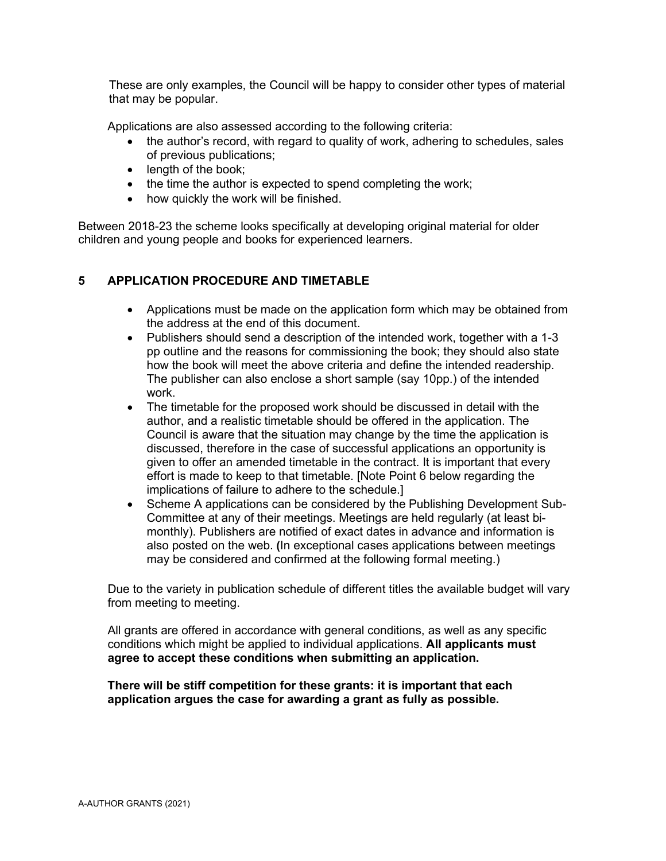These are only examples, the Council will be happy to consider other types of material that may be popular.

Applications are also assessed according to the following criteria:

- the author's record, with regard to quality of work, adhering to schedules, sales of previous publications;
- length of the book:
- the time the author is expected to spend completing the work;
- how quickly the work will be finished.

Between 2018-23 the scheme looks specifically at developing original material for older children and young people and books for experienced learners.

## **5 APPLICATION PROCEDURE AND TIMETABLE**

- Applications must be made on the application form which may be obtained from the address at the end of this document.
- Publishers should send a description of the intended work, together with a 1-3 pp outline and the reasons for commissioning the book; they should also state how the book will meet the above criteria and define the intended readership. The publisher can also enclose a short sample (say 10pp.) of the intended work.
- The timetable for the proposed work should be discussed in detail with the author, and a realistic timetable should be offered in the application. The Council is aware that the situation may change by the time the application is discussed, therefore in the case of successful applications an opportunity is given to offer an amended timetable in the contract. It is important that every effort is made to keep to that timetable. [Note Point 6 below regarding the implications of failure to adhere to the schedule.]
- Scheme A applications can be considered by the Publishing Development Sub-Committee at any of their meetings. Meetings are held regularly (at least bimonthly). Publishers are notified of exact dates in advance and information is also posted on the web. **(**In exceptional cases applications between meetings may be considered and confirmed at the following formal meeting.)

Due to the variety in publication schedule of different titles the available budget will vary from meeting to meeting.

All grants are offered in accordance with general conditions, as well as any specific conditions which might be applied to individual applications. **All applicants must agree to accept these conditions when submitting an application.** 

**There will be stiff competition for these grants: it is important that each application argues the case for awarding a grant as fully as possible.**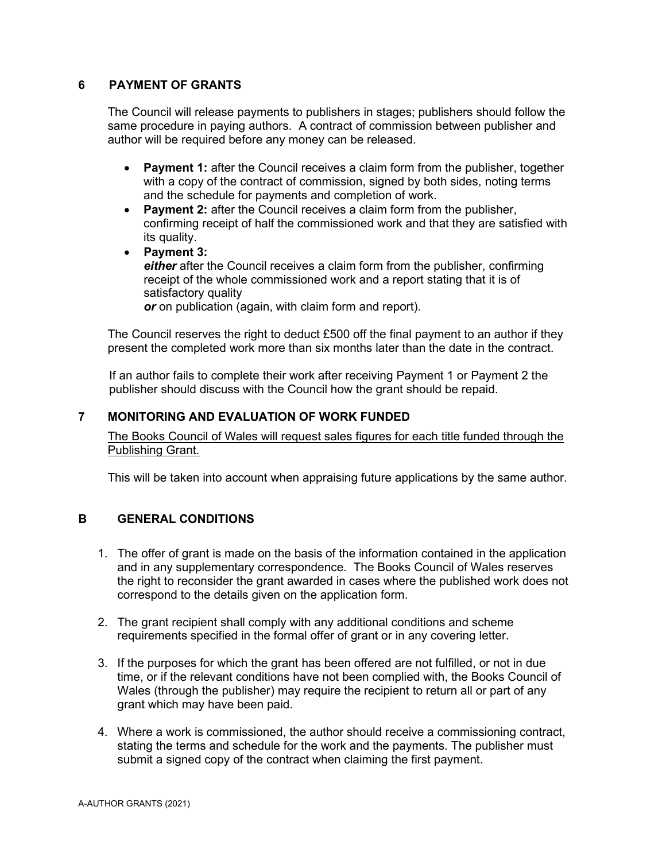# **6 PAYMENT OF GRANTS**

The Council will release payments to publishers in stages; publishers should follow the same procedure in paying authors. A contract of commission between publisher and author will be required before any money can be released.

- **Payment 1:** after the Council receives a claim form from the publisher, together with a copy of the contract of commission, signed by both sides, noting terms and the schedule for payments and completion of work.
- **Payment 2:** after the Council receives a claim form from the publisher, confirming receipt of half the commissioned work and that they are satisfied with its quality.
- **Payment 3: either** after the Council receives a claim form from the publisher, confirming receipt of the whole commissioned work and a report stating that it is of satisfactory quality *or* on publication (again, with claim form and report).

The Council reserves the right to deduct £500 off the final payment to an author if they present the completed work more than six months later than the date in the contract.

If an author fails to complete their work after receiving Payment 1 or Payment 2 the publisher should discuss with the Council how the grant should be repaid.

## **7 MONITORING AND EVALUATION OF WORK FUNDED**

The Books Council of Wales will request sales figures for each title funded through the Publishing Grant.

This will be taken into account when appraising future applications by the same author.

## **B GENERAL CONDITIONS**

- 1. The offer of grant is made on the basis of the information contained in the application and in any supplementary correspondence. The Books Council of Wales reserves the right to reconsider the grant awarded in cases where the published work does not correspond to the details given on the application form.
- 2. The grant recipient shall comply with any additional conditions and scheme requirements specified in the formal offer of grant or in any covering letter.
- 3. If the purposes for which the grant has been offered are not fulfilled, or not in due time, or if the relevant conditions have not been complied with, the Books Council of Wales (through the publisher) may require the recipient to return all or part of any grant which may have been paid.
- 4. Where a work is commissioned, the author should receive a commissioning contract, stating the terms and schedule for the work and the payments. The publisher must submit a signed copy of the contract when claiming the first payment.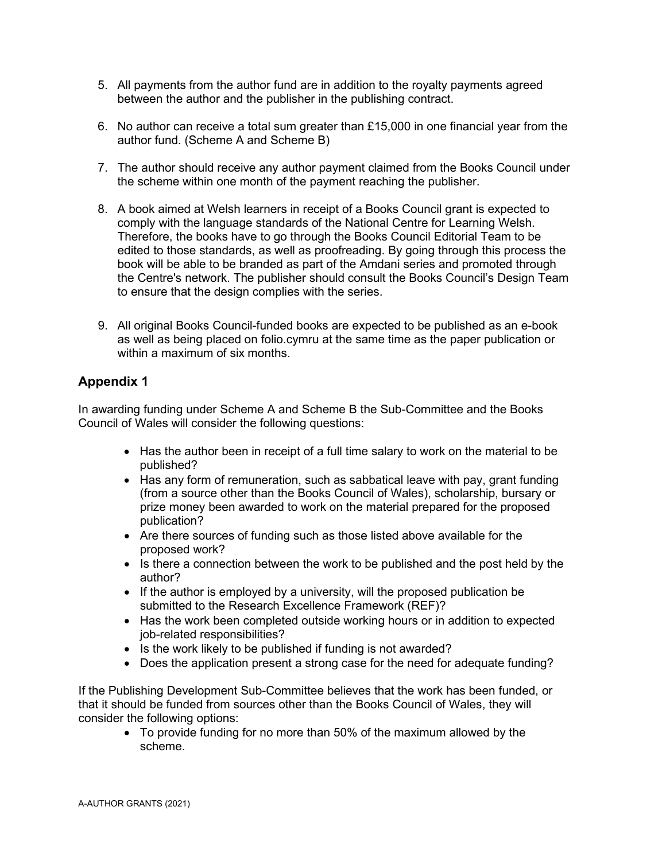- 5. All payments from the author fund are in addition to the royalty payments agreed between the author and the publisher in the publishing contract.
- 6. No author can receive a total sum greater than £15,000 in one financial year from the author fund. (Scheme A and Scheme B)
- 7. The author should receive any author payment claimed from the Books Council under the scheme within one month of the payment reaching the publisher.
- 8. A book aimed at Welsh learners in receipt of a Books Council grant is expected to comply with the language standards of the National Centre for Learning Welsh. Therefore, the books have to go through the Books Council Editorial Team to be edited to those standards, as well as proofreading. By going through this process the book will be able to be branded as part of the Amdani series and promoted through the Centre's network. The publisher should consult the Books Council's Design Team to ensure that the design complies with the series.
- 9. All original Books Council-funded books are expected to be published as an e-book as well as being placed on folio.cymru at the same time as the paper publication or within a maximum of six months.

# **Appendix 1**

In awarding funding under Scheme A and Scheme B the Sub-Committee and the Books Council of Wales will consider the following questions:

- Has the author been in receipt of a full time salary to work on the material to be published?
- Has any form of remuneration, such as sabbatical leave with pay, grant funding (from a source other than the Books Council of Wales), scholarship, bursary or prize money been awarded to work on the material prepared for the proposed publication?
- Are there sources of funding such as those listed above available for the proposed work?
- Is there a connection between the work to be published and the post held by the author?
- If the author is employed by a university, will the proposed publication be submitted to the Research Excellence Framework (REF)?
- Has the work been completed outside working hours or in addition to expected job-related responsibilities?
- Is the work likely to be published if funding is not awarded?
- Does the application present a strong case for the need for adequate funding?

If the Publishing Development Sub-Committee believes that the work has been funded, or that it should be funded from sources other than the Books Council of Wales, they will consider the following options:

• To provide funding for no more than 50% of the maximum allowed by the scheme.